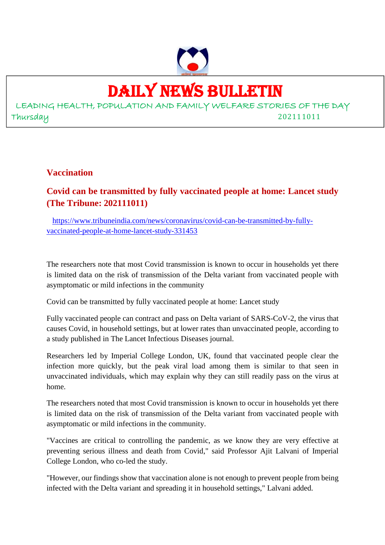

## DAILY NEWS BULLETIN

LEADING HEALTH, POPULATION AND FAMILY WELFARE STORIES OF THE DAY Thursday 202111011

#### **Vaccination**

**Covid can be transmitted by fully vaccinated people at home: Lancet study (The Tribune: 202111011)**

https://www.tribuneindia.com/news/coronavirus/covid-can-be-transmitted-by-fullyvaccinated-people-at-home-lancet-study-331453

The researchers note that most Covid transmission is known to occur in households yet there is limited data on the risk of transmission of the Delta variant from vaccinated people with asymptomatic or mild infections in the community

Covid can be transmitted by fully vaccinated people at home: Lancet study

Fully vaccinated people can contract and pass on Delta variant of SARS-CoV-2, the virus that causes Covid, in household settings, but at lower rates than unvaccinated people, according to a study published in The Lancet Infectious Diseases journal.

Researchers led by Imperial College London, UK, found that vaccinated people clear the infection more quickly, but the peak viral load among them is similar to that seen in unvaccinated individuals, which may explain why they can still readily pass on the virus at home.

The researchers noted that most Covid transmission is known to occur in households yet there is limited data on the risk of transmission of the Delta variant from vaccinated people with asymptomatic or mild infections in the community.

"Vaccines are critical to controlling the pandemic, as we know they are very effective at preventing serious illness and death from Covid," said Professor Ajit Lalvani of Imperial College London, who co-led the study.

"However, our findings show that vaccination alone is not enough to prevent people from being infected with the Delta variant and spreading it in household settings," Lalvani added.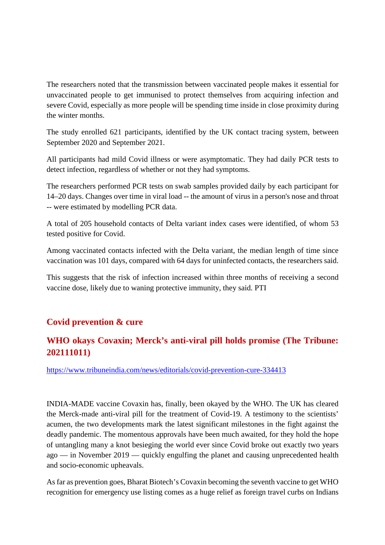The researchers noted that the transmission between vaccinated people makes it essential for unvaccinated people to get immunised to protect themselves from acquiring infection and severe Covid, especially as more people will be spending time inside in close proximity during the winter months.

The study enrolled 621 participants, identified by the UK contact tracing system, between September 2020 and September 2021.

All participants had mild Covid illness or were asymptomatic. They had daily PCR tests to detect infection, regardless of whether or not they had symptoms.

The researchers performed PCR tests on swab samples provided daily by each participant for 14–20 days. Changes over time in viral load -- the amount of virus in a person's nose and throat -- were estimated by modelling PCR data.

A total of 205 household contacts of Delta variant index cases were identified, of whom 53 tested positive for Covid.

Among vaccinated contacts infected with the Delta variant, the median length of time since vaccination was 101 days, compared with 64 days for uninfected contacts, the researchers said.

This suggests that the risk of infection increased within three months of receiving a second vaccine dose, likely due to waning protective immunity, they said. PTI

#### **Covid prevention & cure**

### **WHO okays Covaxin; Merck's anti-viral pill holds promise (The Tribune: 202111011)**

https://www.tribuneindia.com/news/editorials/covid-prevention-cure-334413

INDIA-MADE vaccine Covaxin has, finally, been okayed by the WHO. The UK has cleared the Merck-made anti-viral pill for the treatment of Covid-19. A testimony to the scientists' acumen, the two developments mark the latest significant milestones in the fight against the deadly pandemic. The momentous approvals have been much awaited, for they hold the hope of untangling many a knot besieging the world ever since Covid broke out exactly two years ago — in November 2019 — quickly engulfing the planet and causing unprecedented health and socio-economic upheavals.

As far as prevention goes, Bharat Biotech's Covaxin becoming the seventh vaccine to get WHO recognition for emergency use listing comes as a huge relief as foreign travel curbs on Indians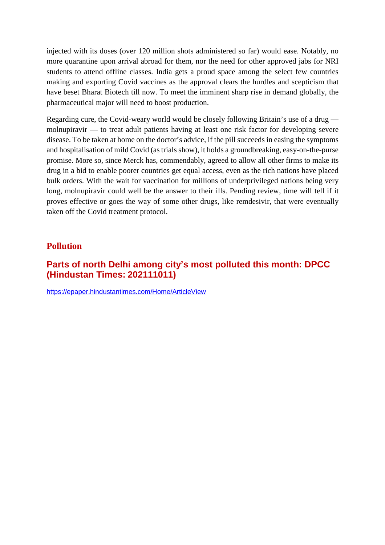injected with its doses (over 120 million shots administered so far) would ease. Notably, no more quarantine upon arrival abroad for them, nor the need for other approved jabs for NRI students to attend offline classes. India gets a proud space among the select few countries making and exporting Covid vaccines as the approval clears the hurdles and scepticism that have beset Bharat Biotech till now. To meet the imminent sharp rise in demand globally, the pharmaceutical major will need to boost production.

Regarding cure, the Covid-weary world would be closely following Britain's use of a drug molnupiravir — to treat adult patients having at least one risk factor for developing severe disease. To be taken at home on the doctor's advice, if the pill succeeds in easing the symptoms and hospitalisation of mild Covid (as trials show), it holds a groundbreaking, easy-on-the-purse promise. More so, since Merck has, commendably, agreed to allow all other firms to make its drug in a bid to enable poorer countries get equal access, even as the rich nations have placed bulk orders. With the wait for vaccination for millions of underprivileged nations being very long, molnupiravir could well be the answer to their ills. Pending review, time will tell if it proves effective or goes the way of some other drugs, like remdesivir, that were eventually taken off the Covid treatment protocol.

#### **Pollution**

#### **Parts of north Delhi among city's most polluted this month: DPCC (Hindustan Times: 202111011)**

https://epaper.hindustantimes.com/Home/ArticleView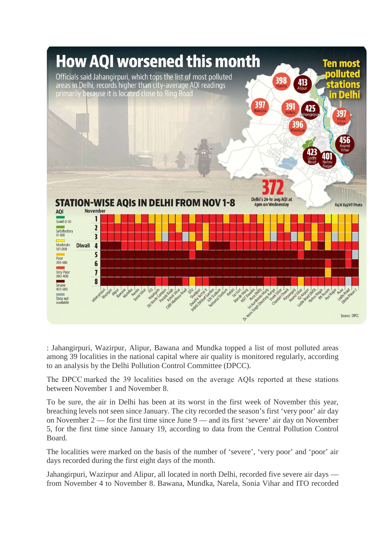

: Jahangirpuri, Wazirpur, Alipur, Bawana and Mundka topped a list of most polluted areas among 39 localities in the national capital where air quality is monitored regularly, according to an analysis by the Delhi Pollution Control Committee (DPCC).

The DPCC marked the 39 localities based on the average AQIs reported at these stations between November 1 and November 8.

To be sure, the air in Delhi has been at its worst in the first week of November this year, breaching levels not seen since January. The city recorded the season's first 'very poor' air day on November 2 — for the first time since June 9 — and its first 'severe' air day on November 5, for the first time since January 19, according to data from the Central Pollution Control Board.

The localities were marked on the basis of the number of 'severe', 'very poor' and 'poor' air days recorded during the first eight days of the month.

Jahangirpuri, Wazirpur and Alipur, all located in north Delhi, recorded five severe air days from November 4 to November 8. Bawana, Mundka, Narela, Sonia Vihar and ITO recorded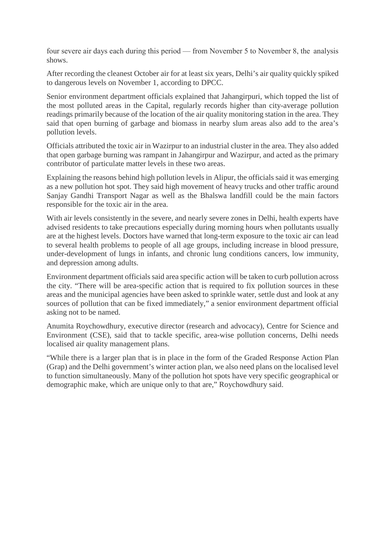four severe air days each during this period — from November 5 to November 8, the analysis shows.

After recording the cleanest October air for at least six years, Delhi's air quality quickly spiked to dangerous levels on November 1, according to DPCC.

Senior environment department officials explained that Jahangirpuri, which topped the list of the most polluted areas in the Capital, regularly records higher than city-average pollution readings primarily because of the location of the air quality monitoring station in the area. They said that open burning of garbage and biomass in nearby slum areas also add to the area's pollution levels.

Officials attributed the toxic air in Wazirpur to an industrial cluster in the area. They also added that open garbage burning was rampant in Jahangirpur and Wazirpur, and acted as the primary contributor of particulate matter levels in these two areas.

Explaining the reasons behind high pollution levels in Alipur, the officials said it was emerging as a new pollution hot spot. They said high movement of heavy trucks and other traffic around Sanjay Gandhi Transport Nagar as well as the Bhalswa landfill could be the main factors responsible for the toxic air in the area.

With air levels consistently in the severe, and nearly severe zones in Delhi, health experts have advised residents to take precautions especially during morning hours when pollutants usually are at the highest levels. Doctors have warned that long-term exposure to the toxic air can lead to several health problems to people of all age groups, including increase in blood pressure, under-development of lungs in infants, and chronic lung conditions cancers, low immunity, and depression among adults.

Environment department officials said area specific action will be taken to curb pollution across the city. "There will be area-specific action that is required to fix pollution sources in these areas and the municipal agencies have been asked to sprinkle water, settle dust and look at any sources of pollution that can be fixed immediately," a senior environment department official asking not to be named.

Anumita Roychowdhury, executive director (research and advocacy), Centre for Science and Environment (CSE), said that to tackle specific, area-wise pollution concerns, Delhi needs localised air quality management plans.

"While there is a larger plan that is in place in the form of the Graded Response Action Plan (Grap) and the Delhi government's winter action plan, we also need plans on the localised level to function simultaneously. Many of the pollution hot spots have very specific geographical or demographic make, which are unique only to that are," Roychowdhury said.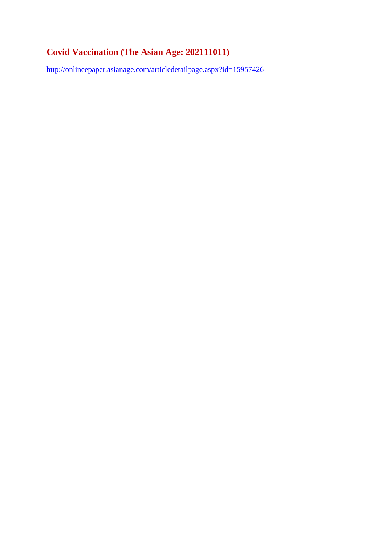## **Covid Vaccination (The Asian Age: 202111011)**

http://onlineepaper.asianage.com/articledetailpage.aspx?id=15957426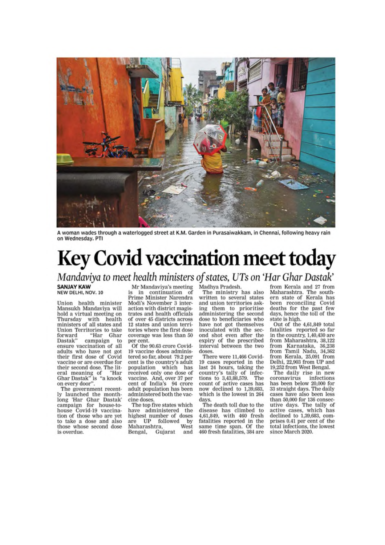

A woman wades through a waterlogged street at K.M. Garden in Purasaiwakkam, in Chennai, following heavy rain on Wednesday. PTI

# **Key Covid vaccination meet today**

Mandaviya to meet health ministers of states, UTs on 'Har Ghar Dastak'

**SANJAY KAW** NEW DELHI, NOV. 10

Union health minister Mansukh Mandaviya will hold a virtual meeting on Thursday with health<br>ministers of all states and Union Territories to take forward "Har Ghar Dastak" campaign to ensure vaccination of all adults who have not got their first dose of Covid vaccine or are overdue for their second dose. The lit-<br>eral meaning of "Har Ghar Dastak" is "a knock on every door".

The government recently launched the monthlong 'Har Ghar Dastak'<br>campaign for house-tohouse Covid-19 vaccina-<br>tion of those who are yet to take a dose and also those whose second dose is overdue.

Mr Mandaviya's meeting

is in continuation of Prime Minister Narendra Modi's November 3 interaction with district magistrates and health officials of over 45 districts across 12 states and union territories where the first dose coverage was less than 50 per cent.

Of the 90.63 crore Covid-19 vaccine doses administered so far, about 79.2 per cent is the country's adult population which has<br>received only one dose of vaccine. And, over 37 per<br>cent of India's 94 crore adult population has been administered both the vaccine doses.

The top five states which have administered the highest number of doses mber of<br>followed by<br>West  $_{\rm UP}$ are Maharashtra, Gujarat and Bengal,

Madhya Pradesh.

The ministry has also written to several states and union territories asking them to prioritise<br>administering the second dose to beneficiaries who have not got themselves inoculated with the second shot even after the<br>expiry of the prescribed interval between the two doses.

There were 11.466 Covid-19 cases reported in the last 24 hours, taking the<br>country's tally of infec-<br>tions to 3,43,88,579. The count of active cases has now declined to 1,39,683, which is the lowest in 264 days.

The death toll due to the disease has climbed to 4,61,849, with 460 fresh fatalities reported in the same time span. Of the 460 fresh fatalities, 384 are

from Kerala and 27 from Maharashtra. The south-<br>ern state of Kerala has been reconciling Covid deaths for the past few days, hence the toll of the state is high.

Out of the 4,61,849 total fatalities reported so far in the country, 1,40,430 are from Maharashtra, 38,122 from Karnataka, 36,238<br>from Tamil Nadu, 34,362 from Kerala, 25,091 from<br>Delhi, 22,903 from UP and 19,252 from West Bengal.

The daily rise in new<br>coronavirus infections infections has been below 20,000 for 33 straight days. The daily cases have also been less than 50,000 for 136 consecutive days. The tally of active cases, which has<br>declined to 1,39,683, comprises 0.41 per cent of the total infections, the lowest since March 2020.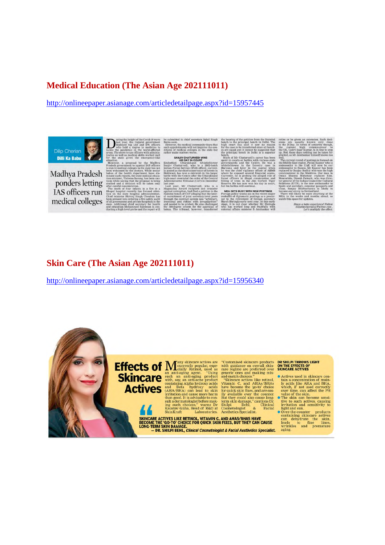#### **Medical Education (The Asian Age 202111011)**

http://onlineepaper.asianage.com/articledetailpage.aspx?id=15957445



Madhya Pradesh ponders letting IAS officers run medical colleges

at govern<br>d IPS off Madhy senior<br>/e disa fin at a itted to chief sec ary Iqbal Singh ity fears that

istiel<br>2002 who<br>(IFo)

**IEA GETS BUSY WITH NEW** outry wonks see in the recent<br>to diplomatic postings as a pr<br>to retirement of foreign secr<br>ringla early next year. At this<br>is not clear whether Mr Shr

hare a babu experience! Foll<br>dilipthecherian@Twitter.co<br>Let's multiply the effi al Follo

#### Skin Care (The Asian Age 202111011)

http://onlineepaper.asianage.com/articledetailpage.aspx?id=15956340

**Effects of Many skincare actives are**<br> **Effects of Many skincare actives are**<br>
in anti-aging agent. "Using<br>
Skincare with say an anti-aging agent. "Using<br>
Skincare with say an anti-aging product<br>
this say, an anti-aging p

SKINCARE ACTIVES LIKE RETINOL, VITAMIN C, AND AHAS/BHAS HAVE<br>BECOME THE 'GO-TO' CHOICE FOR QUICK SKIN FIXES, BUT THEY CAN CAUSE<br>LONG-TERM SKIN DAMAGE.<br>- DR. SHILPI BEHL, *Clinical Cosmetologist & Facial Aesthetics Speciali* 

**Proposition Scheme and Scheme II and Scheme and Scheme and Scheme and Scheme and Scheme and Scheme actives are regime and match choices."<br>
The and-match choices."<br>
The actives used in skinner actives are regime are prefe** 

- Actives used in skincare con-
- 
- Actives used in skin<br>care contains a concentration of main conduction of main and BHA, which, if<br>not used correctly value of the skin. over time, can affect the PH value of the skin<br>can be<br>come sensitive to such that the aging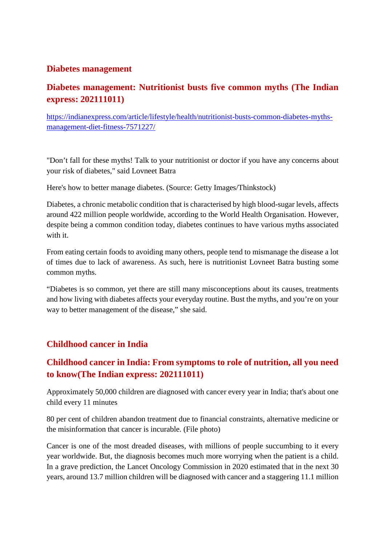#### **Diabetes management**

#### **Diabetes management: Nutritionist busts five common myths (The Indian express: 202111011)**

https://indianexpress.com/article/lifestyle/health/nutritionist-busts-common-diabetes-mythsmanagement-diet-fitness-7571227/

"Don't fall for these myths! Talk to your nutritionist or doctor if you have any concerns about your risk of diabetes," said Lovneet Batra

Here's how to better manage diabetes. (Source: Getty Images/Thinkstock)

Diabetes, a chronic metabolic condition that is characterised by high blood-sugar levels, affects around 422 million people worldwide, according to the World Health Organisation. However, despite being a common condition today, diabetes continues to have various myths associated with it.

From eating certain foods to avoiding many others, people tend to mismanage the disease a lot of times due to lack of awareness. As such, here is nutritionist Lovneet Batra busting some common myths.

"Diabetes is so common, yet there are still many misconceptions about its causes, treatments and how living with diabetes affects your everyday routine. Bust the myths, and you're on your way to better management of the disease," she said.

#### **Childhood cancer in India**

#### **Childhood cancer in India: From symptoms to role of nutrition, all you need to know(The Indian express: 202111011)**

Approximately 50,000 children are diagnosed with cancer every year in India; that's about one child every 11 minutes

80 per cent of children abandon treatment due to financial constraints, alternative medicine or the misinformation that cancer is incurable. (File photo)

Cancer is one of the most dreaded diseases, with millions of people succumbing to it every year worldwide. But, the diagnosis becomes much more worrying when the patient is a child. In a grave prediction, the Lancet Oncology Commission in 2020 estimated that in the next 30 years, around 13.7 million children will be diagnosed with cancer and a staggering 11.1 million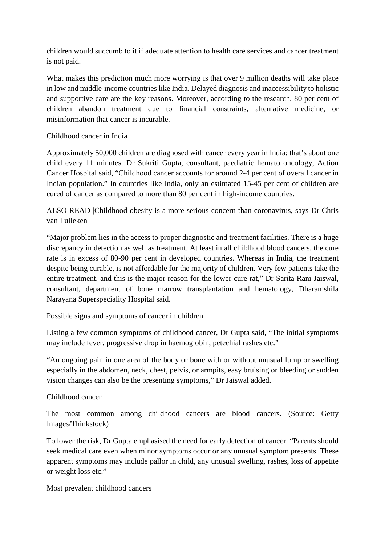children would succumb to it if adequate attention to health care services and cancer treatment is not paid.

What makes this prediction much more worrying is that over 9 million deaths will take place in low and middle-income countries like India. Delayed diagnosis and inaccessibility to holistic and supportive care are the key reasons. Moreover, according to the research, 80 per cent of children abandon treatment due to financial constraints, alternative medicine, or misinformation that cancer is incurable.

#### Childhood cancer in India

Approximately 50,000 children are diagnosed with cancer every year in India; that's about one child every 11 minutes. Dr Sukriti Gupta, consultant, paediatric hemato oncology, Action Cancer Hospital said, "Childhood cancer accounts for around 2-4 per cent of overall cancer in Indian population." In countries like India, only an estimated 15-45 per cent of children are cured of cancer as compared to more than 80 per cent in high-income countries.

ALSO READ |Childhood obesity is a more serious concern than coronavirus, says Dr Chris van Tulleken

"Major problem lies in the access to proper diagnostic and treatment facilities. There is a huge discrepancy in detection as well as treatment. At least in all childhood blood cancers, the cure rate is in excess of 80-90 per cent in developed countries. Whereas in India, the treatment despite being curable, is not affordable for the majority of children. Very few patients take the entire treatment, and this is the major reason for the lower cure rat," Dr Sarita Rani Jaiswal, consultant, department of bone marrow transplantation and hematology, Dharamshila Narayana Superspeciality Hospital said.

Possible signs and symptoms of cancer in children

Listing a few common symptoms of childhood cancer, Dr Gupta said, "The initial symptoms may include fever, progressive drop in haemoglobin, petechial rashes etc."

"An ongoing pain in one area of the body or bone with or without unusual lump or swelling especially in the abdomen, neck, chest, pelvis, or armpits, easy bruising or bleeding or sudden vision changes can also be the presenting symptoms," Dr Jaiswal added.

#### Childhood cancer

The most common among childhood cancers are blood cancers. (Source: Getty Images/Thinkstock)

To lower the risk, Dr Gupta emphasised the need for early detection of cancer. "Parents should seek medical care even when minor symptoms occur or any unusual symptom presents. These apparent symptoms may include pallor in child, any unusual swelling, rashes, loss of appetite or weight loss etc."

Most prevalent childhood cancers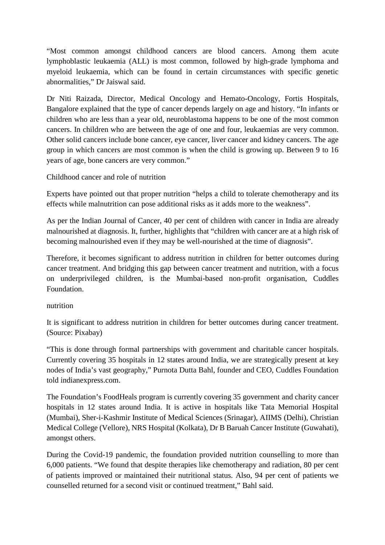"Most common amongst childhood cancers are blood cancers. Among them acute lymphoblastic leukaemia (ALL) is most common, followed by high-grade lymphoma and myeloid leukaemia, which can be found in certain circumstances with specific genetic abnormalities," Dr Jaiswal said.

Dr Niti Raizada, Director, Medical Oncology and Hemato-Oncology, Fortis Hospitals, Bangalore explained that the type of cancer depends largely on age and history. "In infants or children who are less than a year old, neuroblastoma happens to be one of the most common cancers. In children who are between the age of one and four, leukaemias are very common. Other solid cancers include bone cancer, eye cancer, liver cancer and kidney cancers. The age group in which cancers are most common is when the child is growing up. Between 9 to 16 years of age, bone cancers are very common."

Childhood cancer and role of nutrition

Experts have pointed out that proper nutrition "helps a child to tolerate chemotherapy and its effects while malnutrition can pose additional risks as it adds more to the weakness".

As per the Indian Journal of Cancer, 40 per cent of children with cancer in India are already malnourished at diagnosis. It, further, highlights that "children with cancer are at a high risk of becoming malnourished even if they may be well-nourished at the time of diagnosis".

Therefore, it becomes significant to address nutrition in children for better outcomes during cancer treatment. And bridging this gap between cancer treatment and nutrition, with a focus on underprivileged children, is the Mumbai-based non-profit organisation, Cuddles Foundation.

nutrition

It is significant to address nutrition in children for better outcomes during cancer treatment. (Source: Pixabay)

"This is done through formal partnerships with government and charitable cancer hospitals. Currently covering 35 hospitals in 12 states around India, we are strategically present at key nodes of India's vast geography," Purnota Dutta Bahl, founder and CEO, Cuddles Foundation told indianexpress.com.

The Foundation's FoodHeals program is currently covering 35 government and charity cancer hospitals in 12 states around India. It is active in hospitals like Tata Memorial Hospital (Mumbai), Sher-i-Kashmir Institute of Medical Sciences (Srinagar), AIIMS (Delhi), Christian Medical College (Vellore), NRS Hospital (Kolkata), Dr B Baruah Cancer Institute (Guwahati), amongst others.

During the Covid-19 pandemic, the foundation provided nutrition counselling to more than 6,000 patients. "We found that despite therapies like chemotherapy and radiation, 80 per cent of patients improved or maintained their nutritional status. Also, 94 per cent of patients we counselled returned for a second visit or continued treatment," Bahl said.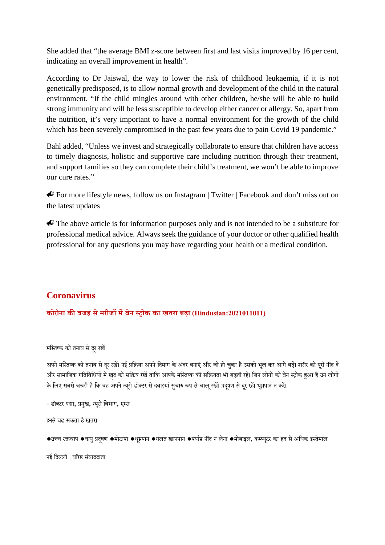She added that "the average BMI z-score between first and last visits improved by 16 per cent, indicating an overall improvement in health".

According to Dr Jaiswal, the way to lower the risk of childhood leukaemia, if it is not genetically predisposed, is to allow normal growth and development of the child in the natural environment. "If the child mingles around with other children, he/she will be able to build strong immunity and will be less susceptible to develop either cancer or allergy. So, apart from the nutrition, it's very important to have a normal environment for the growth of the child which has been severely compromised in the past few years due to pain Covid 19 pandemic."

Bahl added, "Unless we invest and strategically collaborate to ensure that children have access to timely diagnosis, holistic and supportive care including nutrition through their treatment, and support families so they can complete their child's treatment, we won't be able to improve our cure rates."

For more lifestyle news, follow us on Instagram | Twitter | Facebook and don't miss out on the latest updates

 $\bigotimes$  The above article is for information purposes only and is not intended to be a substitute for professional medical advice. Always seek the guidance of your doctor or other qualified health professional for any questions you may have regarding your health or a medical condition.

#### **Coronavirus**

#### **कोरोना कवजह सेमरीजमेन ोक का खतरा बढ़ा (Hindustan:2021011011)**

मस्तिष्क को तनाव से दर रखें

अपने मस्तिष्क को तनाव से दर रखें। नई प्रक्रिया अपने दिमाग के अंदर बनाएं और जो हो चुका है उसको भल कर आगे बढ़ें। शरीर को पूरी नींद दें और सामाजिक गतिविधियों में खुद को सक्रिय रखें ताकि आपके मस्तिष्क की सक्रियता भी बढ़ती रहे। जिन लोगों को ब्रेन स्ट्रोक हुआ है उन लोगों के लिए सबसे जरूरी है कि वह अपने न्यूरो डॉक्टर से दवाइयां सुचारु रूप से चालू रखें। प्रदूषण से दूर रहें। धूम्रपान न करें।

- डॉक्टर पद्मा, प्रमुख, न्यूरो विभाग, एम्स

इनसेबढ़ सकता हैखतरा

```
●उच्च रक्तचाप ●वायु प्रदुषण ●मोटापा ●धूम्रपान ●गलत खानपान ●पर्याप्त नींद न लेना ●मोबाइल, कम्प्युटर का हद से अधिक इस्तेमाल
```
नई िदली | वरसंवाददाता